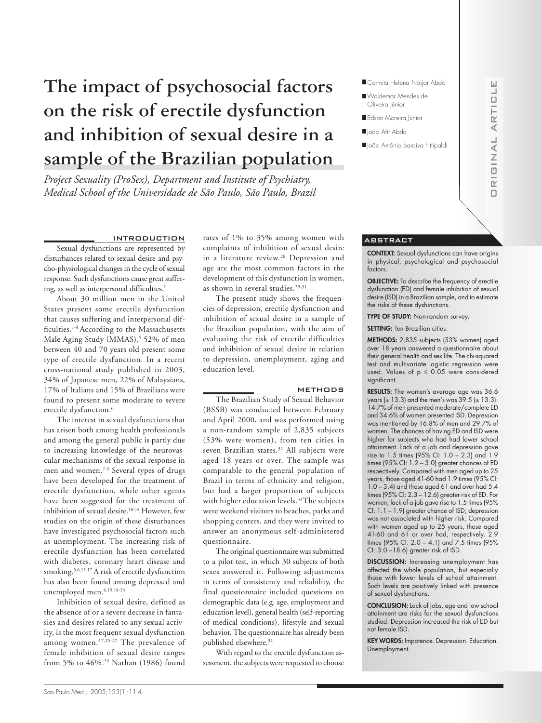# **The impact of psychosocial factors on the risk of erectile dysfunction and inhibition of sexual desire in a sample of the Brazilian population**

*Project Sexuality (ProSex), Department and Institute of Psychiatry, Medical School of the Universidade de São Paulo, São Paulo, Brazil*

# INTRODUCTION

Sexual dysfunctions are represented by disturbances related to sexual desire and psycho-physiological changes in the cycle of sexual response. Such dysfunctions cause great suffering, as well as interpersonal difficulties.<sup>1</sup>

About 30 million men in the United States present some erectile dysfunction that causes suffering and interpersonal difficulties.<sup>1-4</sup> According to the Massachusetts Male Aging Study (MMAS),<sup>5</sup> 52% of men between 40 and 70 years old present some type of erectile dysfunction. In a recent cross-national study published in 2003, 34% of Japanese men, 22% of Malaysians, 17% of Italians and 15% of Brazilians were found to present some moderate to severe erectile dysfunction.<sup>6</sup>

The interest in sexual dysfunctions that has arisen both among health professionals and among the general public is partly due to increasing knowledge of the neurovascular mechanisms of the sexual response in men and women.7-9 Several types of drugs have been developed for the treatment of erectile dysfunction, while other agents have been suggested for the treatment of inhibition of sexual desire.10-14 However, few studies on the origin of these disturbances have investigated psychosocial factors such as unemployment. The increasing risk of erectile dysfunction has been correlated with diabetes, coronary heart disease and smoking.5,6,15-17 A risk of erectile dysfunction has also been found among depressed and unemployed men.6,15,18-24

Inhibition of sexual desire, defined as the absence of or a severe decrease in fantasies and desires related to any sexual activity, is the most frequent sexual dysfunction among women.17,25-27 The prevalence of female inhibition of sexual desire ranges from 5% to 46%.25 Nathan (1986) found rates of 1% to 35% among women with complaints of inhibition of sexual desire in a literature review.<sup>28</sup> Depression and age are the most common factors in the development of this dysfunction in women, as shown in several studies.<sup>29-31</sup>

The present study shows the frequencies of depression, erectile dysfunction and inhibition of sexual desire in a sample of the Brazilian population, with the aim of evaluating the risk of erectile difficulties and inhibition of sexual desire in relation to depression, unemployment, aging and education level.

#### METHODS

The Brazilian Study of Sexual Behavior (BSSB) was conducted between February and April 2000, and was performed using a non-random sample of 2,835 subjects (53% were women), from ten cities in seven Brazilian states.32 All subjects were aged 18 years or over. The sample was comparable to the general population of Brazil in terms of ethnicity and religion, but had a larger proportion of subjects with higher education levels.<sup>33</sup>The subjects were weekend visitors to beaches, parks and shopping centers, and they were invited to answer an anonymous self-administered questionnaire.

The original questionnaire was submitted to a pilot test, in which 30 subjects of both sexes answered it. Following adjustments in terms of consistency and reliability, the final questionnaire included questions on demographic data (e.g. age, employment and education level), general health (self-reporting of medical conditions), lifestyle and sexual behavior. The questionnaire has already been published elsewhere.<sup>32</sup>

With regard to the erectile dysfunction assessment, the subjects were requested to choose



- Waldemar Mendes de Oliveira Júnior
- Edson Moreira Júnior
- ■João Afif Abdo
- João Antônio Saraiva Fittipaldi

# ORIGINAL ARTICLE Ц  $\overline{u}$ R<sub>T</sub>  $\triangleleft$  $\overline{a}$ ANIE  $\overline{R}$  $\Box$

 $\sqcup$ 

### ABSTRACT

CONTEXT: Sexual dysfunctions can have origins in physical, psychological and psychosocial factors.

OBJECTIVE: To describe the frequency of erectile dysfunction (ED) and female inhibition of sexual desire (ISD) in a Brazilian sample, and to estimate the risks of these dysfunctions.

TYPE OF STUDY: Non-random survey.

SETTING: Ten Brazilian cities.

METHODS: 2,835 subjects (53% women) aged over 18 years answered a questionnaire about their general health and sex life. The chi-squared test and multivariate logistic regression were used. Values of  $p \leq 0.05$  were considered significant.

RESULTS: The women's average age was 36.6 years ( $\pm$  13.3) and the men's was 39.5 ( $\pm$  13.3). 14.7% of men presented moderate/complete ED and 34.6% of women presented ISD. Depression was mentioned by 16.8% of men and 29.7% of women. The chances of having ED and ISD were higher for subjects who had had lower school attainment. Lack of a job and depression gave rise to 1.5 times (95% CI: 1.0 – 2.3) and 1.9 times (95% CI: 1.2 – 3.0) greater chances of ED respectively. Compared with men aged up to 25 years, those aged 41-60 had 1.9 times (95% CI: 1.0 – 3.4) and those aged 61 and over had 5.4 times (95% CI: 2.3 – 12.6) greater risk of ED. For women, lack of a job gave rise to 1.5 times (95% CI: 1.1 – 1.9) greater chance of ISD; depression was not associated with higher risk. Compared with women aged up to 25 years, those aged 41-60 and 61 or over had, respectively, 2.9 times (95% CI: 2.0 – 4.1) and 7.5 times (95% CI: 3.0 –18.6) greater risk of ISD.

DISCUSSION: Increasing unemployment has affected the whole population, but especially those with lower levels of school attainment. Such levels are positively linked with presence of sexual dysfunctions.

CONCLUSION: Lack of jobs, age and low school attainment are risks for the sexual dysfunctions studied. Depression increased the risk of ED but not female ISD.

KEY WORDS: Impotence. Depression. Education. Unemployment.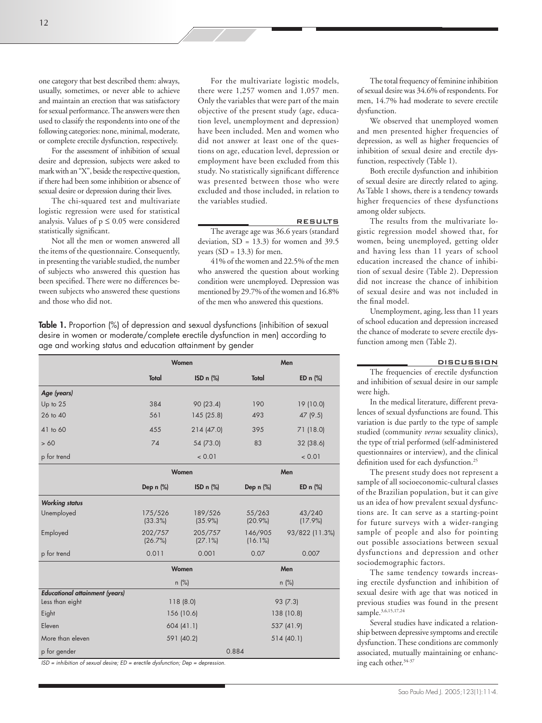one category that best described them: always, usually, sometimes, or never able to achieve and maintain an erection that was satisfactory for sexual performance. The answers were then used to classify the respondents into one of the following categories: none, minimal, moderate, or complete erectile dysfunction, respectively.

For the assessment of inhibition of sexual desire and depression, subjects were asked to mark with an "X", beside the respective question, if there had been some inhibition or absence of sexual desire or depression during their lives.

The chi-squared test and multivariate logistic regression were used for statistical analysis. Values of  $p \leq 0.05$  were considered statistically significant.

Not all the men or women answered all the items of the questionnaire. Consequently, in presenting the variable studied, the number of subjects who answered this question has been specified. There were no differences between subjects who answered these questions and those who did not.

For the multivariate logistic models, there were 1,257 women and 1,057 men. Only the variables that were part of the main objective of the present study (age, education level, unemployment and depression) have been included. Men and women who did not answer at least one of the questions on age, education level, depression or employment have been excluded from this study. No statistically significant difference was presented between those who were excluded and those included, in relation to the variables studied.

## RESULTS

The average age was 36.6 years (standard deviation, SD = 13.3) for women and 39.5 years  $(SD = 13.3)$  for men.

41% of the women and 22.5% of the men who answered the question about working condition were unemployed. Depression was mentioned by 29.7% of the women and 16.8% of the men who answered this questions.

Table 1. Proportion (%) of depression and sexual dysfunctions (inhibition of sexual desire in women or moderate/complete erectile dysfunction in men) according to age and working status and education attainment by gender

|                                       | Women                   |                       |                       | Men                  |  |
|---------------------------------------|-------------------------|-----------------------|-----------------------|----------------------|--|
|                                       | Total                   | ISD $n$ $(\%)$        | Total                 | ED $n$ $%$           |  |
| Age (years)                           |                         |                       |                       |                      |  |
| Up to 25                              | 384                     | 90 (23.4)             | 190                   | 19 (10.0)            |  |
| 26 to 40                              | 561                     | 145(25.8)             | 493                   | 47 (9.5)             |  |
| 41 to 60                              | 455                     | 214(47.0)             | 395                   | 71 (18.0)            |  |
| >60                                   | 74                      | 54 (73.0)             | 83                    | 32 (38.6)            |  |
| p for trend                           |                         | < 0.01                |                       | < 0.01               |  |
|                                       | Women                   |                       | Men                   |                      |  |
|                                       | Dep $n$ $%$             | ISD $n$ $(\%)$        | Dep $n$ $%$           | ED $n$ $%$           |  |
| <b>Working status</b>                 |                         |                       |                       |                      |  |
| Unemployed                            | 175/526<br>(33.3%)      | 189/526<br>$(35.9\%)$ | 55/263<br>(20.9%      | 43/240<br>$(17.9\%)$ |  |
| Employed                              | 202/757<br>(26.7%)      | 205/757<br>(27.1%)    | 146/905<br>$(16.1\%)$ | 93/822 (11.3%)       |  |
| p for trend                           | 0.011                   | 0.001                 | 0.07                  | 0.007                |  |
|                                       | Women                   |                       | Men                   |                      |  |
|                                       | $n$ (%)                 |                       | $n$ (%)               |                      |  |
| <b>Educational attainment (years)</b> |                         |                       |                       |                      |  |
| Less than eight                       | 118(8.0)                |                       | 93 (7.3)              |                      |  |
| Eight                                 | 156 (10.6)              |                       | 138 (10.8)            |                      |  |
| Eleven                                | 604(41.1)               |                       | 537 (41.9)            |                      |  |
| More than eleven                      | 591 (40.2)<br>514(40.1) |                       |                       |                      |  |
| p for gender                          | 0.884                   |                       |                       |                      |  |

ISD = inhibition of sexual desire; ED = erectile dysfunction; Dep = depression.

The total frequency of feminine inhibition of sexual desire was 34.6% of respondents. For men, 14.7% had moderate to severe erectile dysfunction.

We observed that unemployed women and men presented higher frequencies of depression, as well as higher frequencies of inhibition of sexual desire and erectile dysfunction, respectively (Table 1).

Both erectile dysfunction and inhibition of sexual desire are directly related to aging. As Table 1 shows, there is a tendency towards higher frequencies of these dysfunctions among older subjects.

The results from the multivariate logistic regression model showed that, for women, being unemployed, getting older and having less than 11 years of school education increased the chance of inhibition of sexual desire (Table 2). Depression did not increase the chance of inhibition of sexual desire and was not included in the final model.

Unemployment, aging, less than 11 years of school education and depression increased the chance of moderate to severe erectile dysfunction among men (Table 2).

#### DISCUSSION

The frequencies of erectile dysfunction and inhibition of sexual desire in our sample were high.

In the medical literature, different prevalences of sexual dysfunctions are found. This variation is due partly to the type of sample studied (community *versus* sexuality clinics), the type of trial performed (self-administered questionnaires or interview), and the clinical definition used for each dysfunction.<sup>25</sup>

The present study does not represent a sample of all socioeconomic-cultural classes of the Brazilian population, but it can give us an idea of how prevalent sexual dysfunctions are. It can serve as a starting-point for future surveys with a wider-ranging sample of people and also for pointing out possible associations between sexual dysfunctions and depression and other sociodemographic factors.

The same tendency towards increasing erectile dysfunction and inhibition of sexual desire with age that was noticed in previous studies was found in the present sample.3,6,15,17,24

Several studies have indicated a relationship between depressive symptoms and erectile dysfunction. These conditions are commonly associated, mutually maintaining or enhancing each other.34-37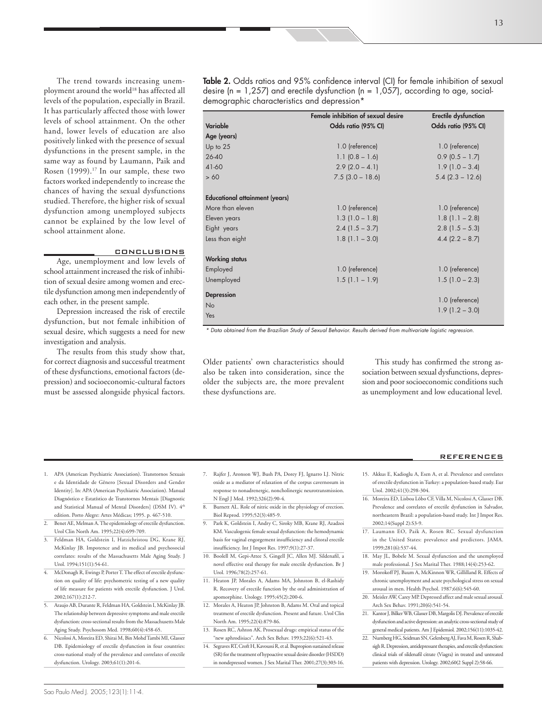The trend towards increasing unemployment around the world<sup>18</sup> has affected all levels of the population, especially in Brazil. It has particularly affected those with lower levels of school attainment. On the other hand, lower levels of education are also positively linked with the presence of sexual dysfunctions in the present sample, in the same way as found by Laumann, Paik and Rosen (1999).<sup>17</sup> In our sample, these two factors worked independently to increase the chances of having the sexual dysfunctions studied. Therefore, the higher risk of sexual dysfunction among unemployed subjects cannot be explained by the low level of school attainment alone.

# **CONCLUSIONS**

Age, unemployment and low levels of school attainment increased the risk of inhibition of sexual desire among women and erectile dysfunction among men independently of each other, in the present sample.

Depression increased the risk of erectile dysfunction, but not female inhibition of sexual desire, which suggests a need for new investigation and analysis.

The results from this study show that, for correct diagnosis and successful treatment of these dysfunctions, emotional factors (depression) and socioeconomic-cultural factors must be assessed alongside physical factors.

|                                       | Female inhibition of sexual desire | Erectile dysfunction |
|---------------------------------------|------------------------------------|----------------------|
| Variable                              | Odds ratio (95% CI)                | Odds ratio (95% CI)  |
| Age (years)                           |                                    |                      |
| Up to $25$                            | 1.0 (reference)                    | 1.0 (reference)      |
| $26 - 40$                             | $1.1$ (0.8 – 1.6)                  | $0.9$ (0.5 – 1.7)    |
| 41-60                                 | $2.9$ (2.0 – 4.1)                  | $1.9(1.0 - 3.4)$     |
| > 60                                  | $7.5$ (3.0 - 18.6)                 | $5.4$ (2.3 - 12.6)   |
|                                       |                                    |                      |
| <b>Educational attainment (years)</b> |                                    |                      |
| More than eleven                      | 1.0 (reference)                    | 1.0 (reference)      |
| Eleven years                          | $1.3$ (1.0 – 1.8)                  | $1.8$ (1.1 – 2.8)    |
| Eight years                           | $2.4$ (1.5 – 3.7)                  | $2.8$ (1.5 – 5.3)    |
| Less than eight                       | $1.8$ (1.1 - 3.0)                  | $4.4$ (2.2 – 8.7)    |
|                                       |                                    |                      |
| <b>Working status</b>                 |                                    |                      |
| Employed                              | 1.0 (reference)                    | 1.0 (reference)      |
| Unemployed                            | $1.5$ (1.1 – 1.9)                  | $1.5$ (1.0 – 2.3)    |
| <b>Depression</b>                     |                                    |                      |
| No                                    |                                    | 1.0 (reference)      |
| Yes                                   |                                    | $1.9$ (1.2 – 3.0)    |
|                                       |                                    |                      |

\* Data obtained from the Brazilian Study of Sexual Behavior. Results derived from multivariate logistic regression.

Older patients' own characteristics should also be taken into consideration, since the older the subjects are, the more prevalent these dysfunctions are.

This study has confirmed the strong association between sexual dysfunctions, depression and poor socioeconomic conditions such as unemployment and low educational level.

#### REFERENCES

- 1. APA (American Psychiatric Association). Transtornos Sexuais e da Identidade de Gênero [Sexual Disorders and Gender Identity]. In: APA (American Psychiatric Association). Manual Diagnóstico e Estatístico de Transtornos Mentais [Diagnostic and Statistical Manual of Mental Disorders] (DSM IV). 4th edition. Porto Alegre: Artes Médicas; 1995. p. 467-510.
- Benet AE, Melman A. The epidemiology of erectile dysfunction. Urol Clin North Am. 1995;22(4):699-709.
- 3. Feldman HA, Goldstein I, Hatzichristou DG, Krane RJ, McKinlay JB. Impotence and its medical and psychosocial correlates: results of the Massachusetts Male Aging Study. J Urol. 1994;151(1):54-61.
- 4. McDonagh R, Ewings P, Porter T. The effect of erectile dysfunction on quality of life: psychometric testing of a new quality of life measure for patients with erectile dysfunction. J Urol. 2002;167(1):212-7.
- 5. Araujo AB, Durante R, Feldman HA, Goldstein I, McKinlay JB. The relationship between depressive symptoms and male erectile dysfunction: cross-sectional results from the Massachusetts Male Aging Study. Psychosom Med. 1998;60(4):458-65.
- 6. Nicolosi A, Moreira ED, Shirai M, Bin Mohd Tambi MI, Glasser DB. Epidemiology of erectile dysfunction in four countries: cross-national study of the prevalence and correlates of erectile dysfunction. Urology. 2003;61(1):201-6.
- 7. Rajfer J, Aronson WJ, Bush PA, Dorey FJ, Ignarro LJ. Nitric oxide as a mediator of relaxation of the corpus cavernosum in response to nonadrenergic, noncholinergic neurotransmission. N Engl J Med. 1992;326(2):90-4.
- Burnett AL. Role of nitric oxide in the physiology of erection. Biol Reprod. 1995;52(3):485-9.
- 9. Park K, Goldstein I, Andry C, Siroky MB, Krane RJ, Azadzoi KM. Vasculogenic female sexual dysfunction: the hemodynamic basis for vaginal engorgement insufficiency and clitoral erectile insufficiency. Int J Impot Res. 1997;9(1):27-37.
- 10. Boolell M, Gepi-Attee S, Gingell JC, Allen MJ. Sildenafil, a novel effective oral therapy for male erectile dysfunction. Br J Urol. 1996;78(2):257-61.
- 11. Heaton JP, Morales A, Adams MA, Johnston B, el-Rashidy R. Recovery of erectile function by the oral administration of apomorphine. Urology. 1995;45(2):200-6.
- 12. Morales A, Heaton JP, Johnston B, Adams M. Oral and topical treatment of erectile dysfunction. Present and future. Urol Clin North Am. 1995;22(4):879-86.
- 13. Rosen RC, Ashton AK. Prosexual drugs: empirical status of the "new aphrodisiacs". Arch Sex Behav. 1993;22(6):521-43.
- 14. Segraves RT, Croft H, Kavoussi R, et al. Bupropion sustained release (SR) for the treatment of hypoactive sexual desire disorder (HSDD) in nondepressed women. J Sex Marital Ther. 2001;27(3):303-16.
- 15. Akkus E, Kadioglu A, Esen A, et al. Prevalence and correlates of erectile dysfunction in Turkey: a population-based study. Eur Urol. 2002;41(3):298-304.
- 16. Moreira ED, Lisboa Lôbo CF, Villa M, Nicolosi A, Glasser DB. Prevalence and correlates of erectile dysfunction in Salvador, northeastern Brazil: a population-based study. Int J Impot Res. 2002;14(Suppl 2):S3-9.
- 17. Laumann EO, Paik A, Rosen RC. Sexual dysfunction in the United States: prevalence and predictors. JAMA. 1999;281(6):537-44.
- 18. May JL, Bobele M. Sexual dysfunction and the unemployed male professional. J Sex Marital Ther. 1988;14(4):253-62.
- 19. Morokoff PJ, Baum A, McKinnon WR, Gillilland R. Effects of chronic unemployment and acute psychological stress on sexual arousal in men. Health Psychol. 1987;6(6):545-60.
- 20. Meisler AW, Carey MP. Depressed affect and male sexual arousal. Arch Sex Behav. 1991;20(6):541-54.
- 21. Kantor J, Bilker WB, Glasser DB, Margolis DJ. Prevalence of erectile dysfunction and active depression: an analytic cross-sectional study of general medical patients. Am J Epidemiol. 2002;156(11):1035-42.
- 22. Nurnberg HG, Seidman SN, Gelenberg AJ, Fava M, Rosen R, Shabsigh R. Depression, antidepressant therapies, and erectile dysfunction: clinical trials of sildenafil citrate (Viagra) in treated and untreated patients with depression. Urology. 2002;60(2 Suppl 2):58-66.